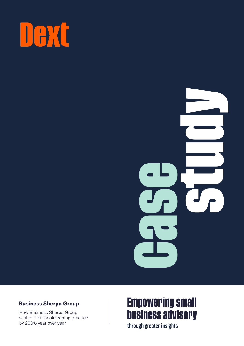



#### **Business Sherpa Group**

How Business Sherpa Group scaled their bookkeeping practice by 200% year over year

# **Empowering small business advisory**

through greater insights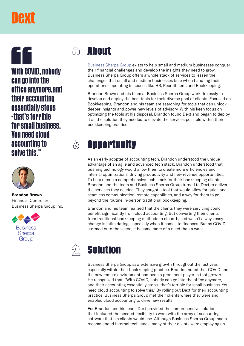# DAXE

66 **With COVID, nobody can go into the office anymore,and their accounting essentially stops -that's terrible for small business. You need cloud accounting to solve this."**



**Brandon Brown** Financial Controller [Business Sherpa Group Inc.](https://www.businesssherpagroup.com/)



#### $\bigcap_{n=1}^{\infty}$ **About**

[Business Sherpa Group](https://www.businesssherpagroup.com/) exists to help small and medium businesses conquer their financial challenges and develop the insights they need to grow. Business Sherpa Group offers a whole stack of services to lessen the challenges that small and medium businesses face when handling their operations—operating in spaces like HR, Recruitment, and Bookkeeping.

Brandon Brown and his team at Business Sherpa Group work tirelessly to develop and deploy the best tools for their diverse pool of clients. Focused on Bookkeeping, Brandon and his team are searching for tools that can unlock deeper insights and power new levels of advisory. With his keen focus on optimizing the tools at his disposal, Brandon found Dext and began to deploy it as the solution they needed to elevate the services possible within their bookkeeping practice.

### **Opportunity**

 $\binom{N}{N}$ 

As an early adopter of accounting tech, Brandon understood the unique advantage of an agile and advanced tech stack. Brandon understood that pushing technology would allow them to create more efficiencies and internal optimizations, driving productivity and new revenue opportunities. To help create a comprehensive tech stack for their bookkeeping clients, Brandon and the team and Business Sherpa Group turned to Dext to deliver the services they needed. They sought a tool that would allow for quick and seamless communication, remote capabilities, and a way for them to go beyond the routine in-person traditional bookkeeping.

Brandon and his team realized that the clients they were servicing could benefit significantly from cloud accounting. But converting their clients from traditional bookkeeping methods to cloud-based wasn't always easy change is intimidating, especially when it comes to finances. But as COVID stormed onto the scene, it became more of a need than a want.



Business Sherpa Group saw extensive growth throughout the last year, especially within their bookkeeping practice. Brandon noted that COVID and the new remote environment had been a prominent player in that growth. He recognized that, "With COVID, nobody can go into the office anymore, and their accounting essentially stops -that's terrible for small business. You need cloud accounting to solve this." By rolling out Dext for their accounting practice, Business Sherpa Group met their clients where they were and enabled cloud accounting to drive new results.

For Brandon and his team, Dext provided the comprehensive solution that included the needed flexibility to work with the array of accounting software that his clients would use. Although Business Sherpa Group had a recommended internal tech stack, many of their clients were employing an